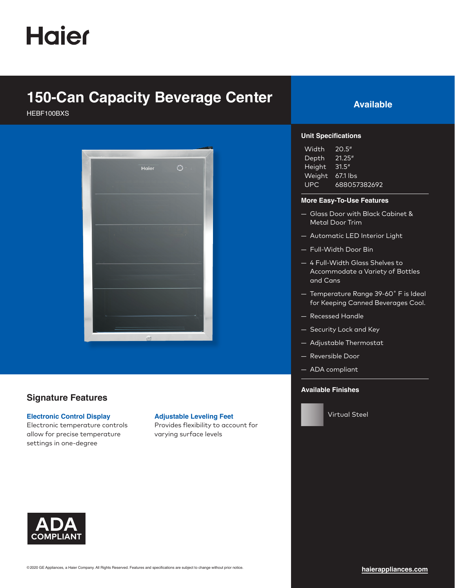# **Haier**

### **150-Can Capacity Beverage Center Available**

HEBF100BXS



### **Signature Features**

#### **Electronic Control Display**

Electronic temperature controls allow for precise temperature settings in one-degree

#### **Adjustable Leveling Feet**

Provides flexibility to account for varying surface levels



#### **Unit Specifications**

| Width      | 20.5''       |
|------------|--------------|
| Depth      | 21.25''      |
| Height     | 31.5''       |
| Weight     | 67.1 lbs     |
| <b>UPC</b> | 688057382692 |

#### **More Easy-To-Use Features**

- Glass Door with Black Cabinet & Metal Door Trim
- Automatic LED Interior Light
- Full-Width Door Bin
- 4 Full-Width Glass Shelves to Accommodate a Variety of Bottles and Cans
- Temperature Range 39-60˚ F is Ideal for Keeping Canned Beverages Cool.
- Recessed Handle
- Security Lock and Key
- Adjustable Thermostat
- Reversible Door
- ADA compliant

#### **Available Finishes**